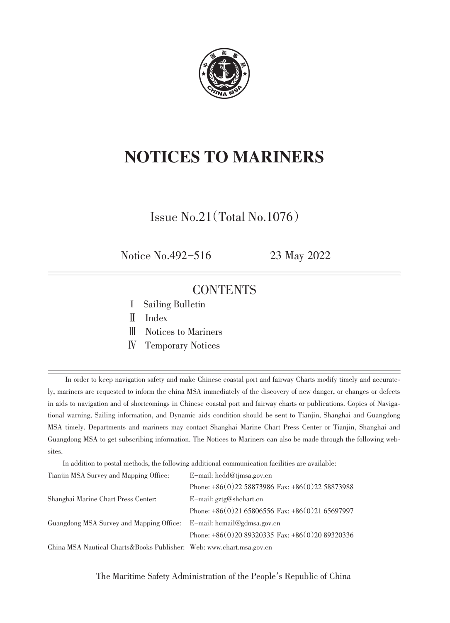

# NOTICES TO MARINERS

Issue No.21(Total No.1076)

Notice No.492-516 23 May 2022

### **CONTENTS**

- I Sailing Bulletin
- Ⅱ Index
- Ⅲ Notices to Mariners
- Ⅳ Temporary Notices

In order to keep navigation safety and make Chinese coastal port and fairway Charts modify timely and accurately, mariners are requested to inform the china MSA immediately of the discovery of new danger, or changes or defects in aids to navigation and of shortcomings in Chinese coastal port and fairway charts or publications. Copies of Navigational warning, Sailing information, and Dynamic aids condition should be sent to Tianjin, Shanghai and Guangdong MSA timely. Departments and mariners may contact Shanghai Marine Chart Press Center or Tianjin, Shanghai and Guangdong MSA to get subscribing information. The Notices to Mariners can also be made through the following websites.

In addition to postal methods, the following additional communication facilities are available:

| Tianjin MSA Survey and Mapping Office:                                 | E-mail: hcdd@timsa.gov.cn                         |  |
|------------------------------------------------------------------------|---------------------------------------------------|--|
|                                                                        | Phone: +86(0)22 58873986 Fax: +86(0)22 58873988   |  |
| Shanghai Marine Chart Press Center:                                    | E-mail: $gxtg@shchart.cn$                         |  |
|                                                                        | Phone: $+86(0)2165806556$ Fax: $+86(0)2165697997$ |  |
| Guangdong MSA Survey and Mapping Office:                               | E-mail: hcmail@gdmsa.gov.cn                       |  |
|                                                                        | Phone: $+86(0)2089320335$ Fax: $+86(0)2089320336$ |  |
| China MSA Nautical Charts & Books Publisher: Web: www.chart.msa.gov.cn |                                                   |  |

The Maritime Safety Administration of the People′s Republic of China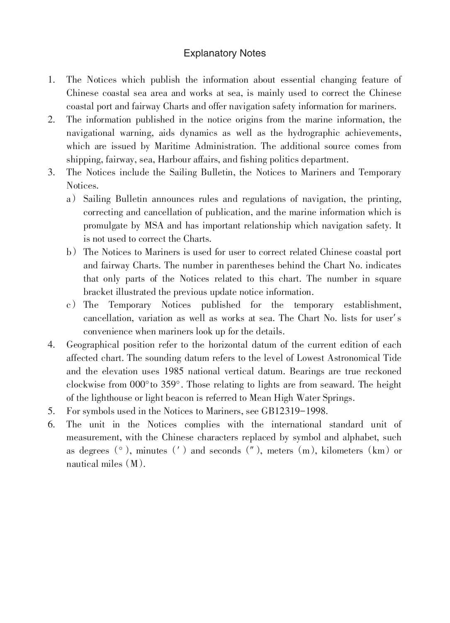#### Explanatory Notes

- 1. The Notices which publish the information about essential changing feature of Chinese coastal sea area and works at sea, is mainly used to correct the Chinese coastal port and fairway Charts and offer navigation safety information for mariners.
- 2. The information published in the notice origins from the marine information, the navigational warning, aids dynamics as well as the hydrographic achievements, which are issued by Maritime Administration. The additional source comes from shipping, fairway, sea, Harbour affairs, and fishing politics department.
- 3. The Notices include the Sailing Bulletin, the Notices to Mariners and Temporary Notices.
	- a) Sailing Bulletin announces rules and regulations of navigation, the printing, correcting and cancellation of publication, and the marine information which is promulgate by MSA and has important relationship which navigation safety. It is not used to correct the Charts.
	- b) The Notices to Mariners is used for user to correct related Chinese coastal port and fairway Charts. The number in parentheses behind the Chart No. indicates that only parts of the Notices related to this chart. The number in square bracket illustrated the previous update notice information.
	- c) The Temporary Notices published for the temporary establishment, cancellation, variation as well as works at sea. The Chart No. lists for user′ s convenience when mariners look up for the details.
- 4. Geographical position refer to the horizontal datum of the current edition of each affected chart. The sounding datum refers to the level of Lowest Astronomical Tide and the elevation uses 1985 national vertical datum. Bearings are true reckoned clockwise from 000°to 359°. Those relating to lights are from seaward. The height of the lighthouse or light beacon is referred to Mean High Water Springs.
- 5. For symbols used in the Notices to Mariners, see GB12319-1998.
- 6. The unit in the Notices complies with the international standard unit of measurement, with the Chinese characters replaced by symbol and alphabet, such as degrees  $(\circ)$ , minutes (') and seconds ("), meters (m), kilometers (km) or nautical miles  $(M)$ .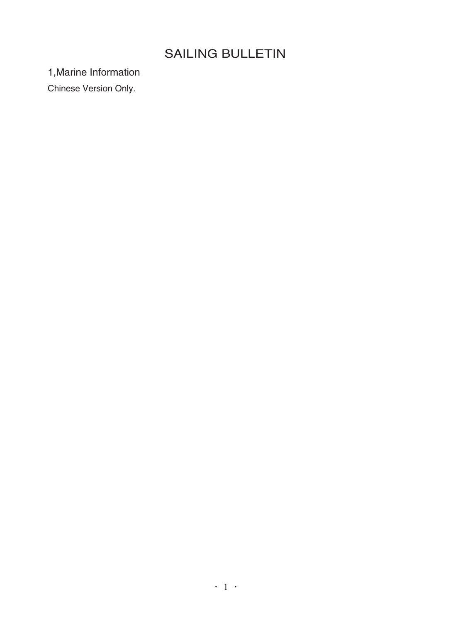## SAILING BULLETIN

1,Marine Information

Chinese Version Only.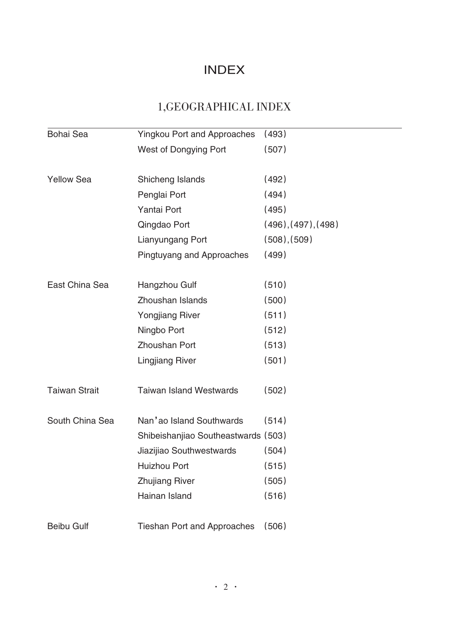### INDEX

## 1,GEOGRAPHICAL INDEX

| Bohai Sea            | <b>Yingkou Port and Approaches</b>  | (493)               |
|----------------------|-------------------------------------|---------------------|
|                      | West of Dongying Port               | (507)               |
|                      |                                     |                     |
| <b>Yellow Sea</b>    | Shicheng Islands                    | (492)               |
|                      | Penglai Port                        | (494)               |
|                      | Yantai Port                         | (495)               |
|                      | Qingdao Port                        | (496), (497), (498) |
|                      | Lianyungang Port                    | (508), (509)        |
|                      | Pingtuyang and Approaches           | (499)               |
| East China Sea       | Hangzhou Gulf                       | (510)               |
|                      | Zhoushan Islands                    | (500)               |
|                      | <b>Yongjiang River</b>              | (511)               |
|                      | Ningbo Port                         | (512)               |
|                      | Zhoushan Port                       | (513)               |
|                      | <b>Lingjiang River</b>              | (501)               |
| <b>Taiwan Strait</b> | <b>Taiwan Island Westwards</b>      | (502)               |
| South China Sea      | Nan'ao Island Southwards            | (514)               |
|                      | Shibeishanjiao Southeastwards (503) |                     |
|                      | Jiazijiao Southwestwards            | (504)               |
|                      | Huizhou Port                        | (515)               |
|                      | <b>Zhujiang River</b>               | (505)               |
|                      | Hainan Island                       | (516)               |
| <b>Beibu Gulf</b>    | <b>Tieshan Port and Approaches</b>  | (506)               |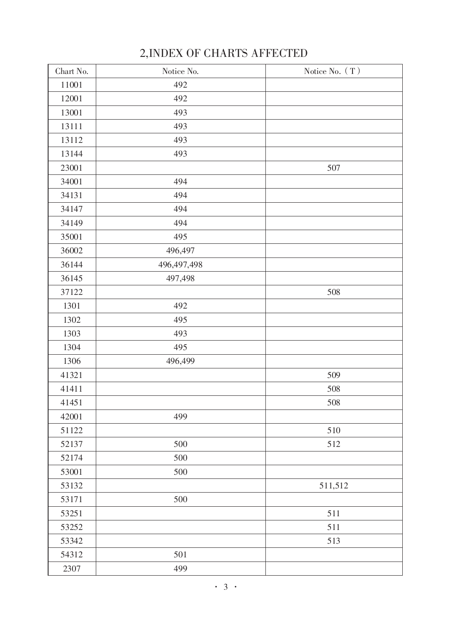| Chart No. | Notice No.    | Notice No. (T) |
|-----------|---------------|----------------|
| 11001     | 492           |                |
| 12001     | 492           |                |
| 13001     | 493           |                |
| 13111     | 493           |                |
| 13112     | 493           |                |
| 13144     | 493           |                |
| 23001     |               | 507            |
| 34001     | 494           |                |
| 34131     | 494           |                |
| 34147     | 494           |                |
| 34149     | 494           |                |
| 35001     | 495           |                |
| 36002     | 496,497       |                |
| 36144     | 496, 497, 498 |                |
| 36145     | 497,498       |                |
| 37122     |               | 508            |
| 1301      | 492           |                |
| 1302      | 495           |                |
| 1303      | 493           |                |
| 1304      | 495           |                |
| 1306      | 496,499       |                |
| 41321     |               | 509            |
| 41411     |               | 508            |
| 41451     |               | 508            |
| 42001     | 499           |                |
| 51122     |               | 510            |
| 52137     | 500           | 512            |
| 52174     | 500           |                |
| 53001     | 500           |                |
| 53132     |               | 511,512        |
| 53171     | 500           |                |
| 53251     |               | 511            |
| 53252     |               | 511            |
| 53342     |               | 513            |
| 54312     | 501           |                |
| 2307      | 499           |                |

## 2,INDEX OF CHARTS AFFECTED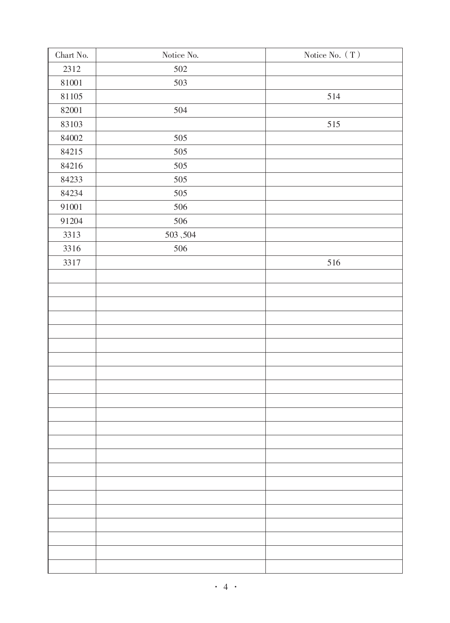| ${\rm Chart}$ No. | Notice No. | Notice No. ( $\mathcal T$ ) |
|-------------------|------------|-----------------------------|
| 2312              | 502        |                             |
| 81001             | 503        |                             |
| $81105\,$         |            | 514                         |
| 82001             | 504        |                             |
| 83103             |            | 515                         |
| 84002             | $505\,$    |                             |
| 84215             | 505        |                             |
| 84216             | $505\,$    |                             |
| 84233             | 505        |                             |
| 84234             | $505\,$    |                             |
| 91001             | 506        |                             |
| 91204             | 506        |                             |
| 3313              | $503,504$  |                             |
| 3316              | 506        |                             |
| 3317              |            | 516                         |
|                   |            |                             |
|                   |            |                             |
|                   |            |                             |
|                   |            |                             |
|                   |            |                             |
|                   |            |                             |
|                   |            |                             |
|                   |            |                             |
|                   |            |                             |
|                   |            |                             |
|                   |            |                             |
|                   |            |                             |
|                   |            |                             |
|                   |            |                             |
|                   |            |                             |
|                   |            |                             |
|                   |            |                             |
|                   |            |                             |
|                   |            |                             |
|                   |            |                             |
|                   |            |                             |
|                   |            |                             |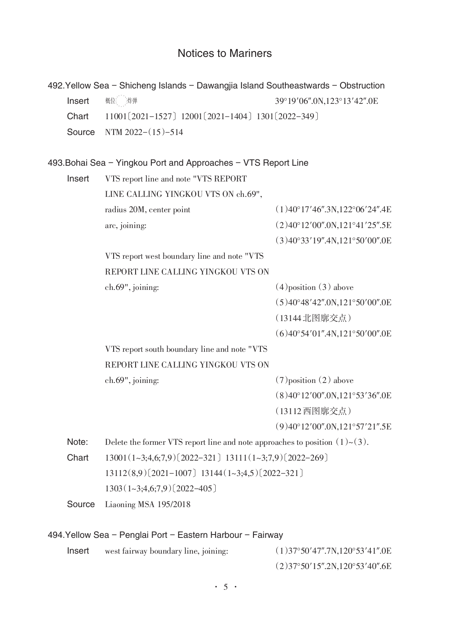### Notices to Mariners

|        | 492. Yellow Sea - Shicheng Islands - Dawangjia Island Southeastwards - Obstruction |                                                 |
|--------|------------------------------------------------------------------------------------|-------------------------------------------------|
| Insert | 概位: 炸弹                                                                             | 39°19'06".0N,123°13'42".0E                      |
| Chart  | 11001 (2021-1527) 12001 (2021-1404) 1301 (2022-349)                                |                                                 |
| Source | NTM $2022-(15)-514$                                                                |                                                 |
|        |                                                                                    |                                                 |
|        | 493. Bohai Sea - Yingkou Port and Approaches - VTS Report Line                     |                                                 |
| Insert | VTS report line and note "VTS REPORT                                               |                                                 |
|        | LINE CALLING YINGKOU VTS ON ch.69",                                                |                                                 |
|        | radius 20M, center point                                                           | $(1)$ 40°17'46".3N,122°06'24".4E                |
|        | arc, joining:                                                                      | (2)40°12'00".0N,121°41'25".5E                   |
|        |                                                                                    | (3)40°33'19''.4N,121°50'00''.0E                 |
|        | VTS report west boundary line and note "VTS                                        |                                                 |
|        | REPORT LINE CALLING YINGKOU VTS ON                                                 |                                                 |
|        | ch.69", joining:                                                                   | $(4)$ position $(3)$ above                      |
|        |                                                                                    | (5)40°48'42''.0N,121°50'00''.0E                 |
|        |                                                                                    | (13144北图廓交点)                                    |
|        |                                                                                    | $(6)$ 40°54'01".4N,121°50'00".0E                |
|        | VTS report south boundary line and note "VTS                                       |                                                 |
|        | REPORT LINE CALLING YINGKOU VTS ON                                                 |                                                 |
|        | ch.69", joining:                                                                   | $(7)$ position $(2)$ above                      |
|        |                                                                                    | $(8)40^{\circ}12'00''.0N,121^{\circ}53'36''.0E$ |
|        |                                                                                    | (13112西图廓交点)                                    |
|        |                                                                                    | $(9)40^{\circ}12'00''.0N,121^{\circ}57'21''.5E$ |
| Note:  | Delete the former VTS report line and note approaches to position $(1) \sim (3)$ . |                                                 |
| Chart  | $13001(1-3;4,6;7,9)$ $(2022-321)$ $13111(1-3;7,9)$ $(2022-269)$                    |                                                 |
|        | $13112(8,9)$ $(2021-1007)$ $13144(1-3,4,5)$ $(2022-321)$                           |                                                 |
|        | $1303(1-3;4,6;7,9)$ $(2022-405)$                                                   |                                                 |
| Source | Liaoning MSA 195/2018                                                              |                                                 |
|        | 494. Yellow Sea - Penglai Port - Eastern Harbour - Fairway                         |                                                 |
| Insert | west fairway boundary line, joining:                                               | (1)37°50'47''.7N,120°53'41''.0E                 |
|        |                                                                                    | (2)37°50'15''.2N,120°53'40''.6E                 |
|        |                                                                                    |                                                 |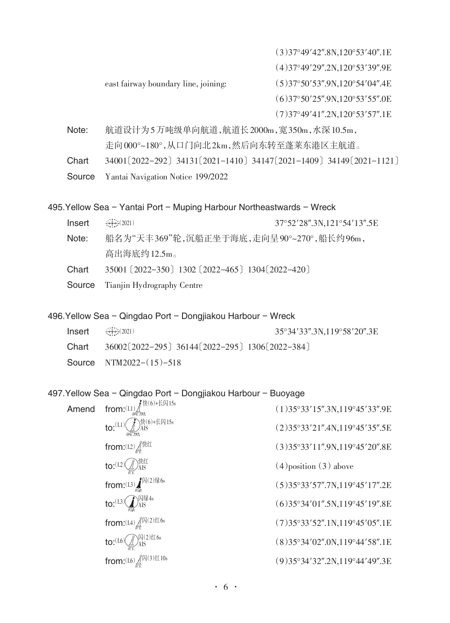(3)37°49′42″.8N,120°53′40″.1E

(4)37°49′29″.2N,120°53′39″.9E

east fairway boundary line, joining: (5)37°50′53″.9N,120°54′04″.4E

(6)37°50′25″.9N,120°53′55″.0E

(7)37°49′41″.2N,120°53′57″.1E

Note: 航道设计为5万吨级单向航道,航道长2000m,宽350m,水深10.5m, 走向000°~180°,从口门向北2km,然后向东转至蓬莱东港区主航道。

Chart 34001〔2022-292〕34131〔2021-1410〕34147〔2021-1409〕34149〔2021-1121〕

Source Yantai Navigation Notice 199/2022

495.Yellow Sea - Yantai Port - Muping Harbour Northeastwards - Wreck

Insert 37°52′28″.3N,121°54′13″.5E  $++(2021)$ 

- Note: 船名为"天丰369"轮,沉船正坐于海底,走向呈90°~270°,船长约96m, 高出海底约12.5m。
- Chart 35001〔2022-350〕1302〔2022-465〕1304〔2022-420〕
- Source Tianjin Hydrography Centre

496. Yellow Sea - Qingdao Port - Dongjiakou Harbour - Wreck

| $Insert + (2021)$ |                                                   | 35°34′33″.3N.119°58′20″.3E |
|-------------------|---------------------------------------------------|----------------------------|
| Chart             | 36002 [2022-295] 36144 [2022-295] 1306 [2022-384] |                            |
|                   | Source NTM2022- $(15)$ -518                       |                            |

497. Yellow Sea - Qingdao Port - Dongjiakou Harbour - Buoyage

| Amend | from: $(L1)$ $\int\limits_{\mathbb{H}^2\text{Beta}}\mathbb{R}^{(6)+\mathbb{K}[\mathbb{Q}]}$ 15s | (1)35°33'15''.3N,119°45'33''.9E |
|-------|-------------------------------------------------------------------------------------------------|---------------------------------|
|       | to: $(L1)$ $\bigoplus_{\text{AIS}} (6) + k \overline{R}$ 15s                                    | (2)35°33'21''.4N,119°45'35''.5E |
|       | from: $(L2)$ $\text{Lip}^{\text{eff}}$                                                          | (3)35°33'11''.9N,119°45'20''.8E |
|       | to: $(L2)$ $\left(\bigcup_{\mathcal{L}\subset T}\right)$ $\bigoplus_{AIS}$                      | $(4)$ position $(3)$ above      |
|       | from:(L3) $\int_{\mathbb{R}^n}$ $\sqrt{\mathcal{N}}$ (2) $\frac{1}{36}$ 6s                      | (5)35°33'57''.7N,119°45'17''.2E |
|       | to: $(L3)$ $\bigoplus_{\mathrm{AIS}}$ $\boxtimes$ $L3$                                          | (6)35°34'01''.5N,119°45'19''.8E |
|       | from: $(L4)$ $\int_{2+}^{R}$ $\left  \mathcal{A} (2) \right  \leq 6$ s                          | (7)35°33'52''.1N,119°45'05''.1E |
|       | $\text{to:}$ $(16)(\text{N0:})$ $\text{MS}$                                                     | (8)35°34'02''.0N,119°44'58''.1E |
|       | from: $(L6)$ $(1.6)$ $(3)$ $(1.10s)$                                                            | (9)35°34'32".2N,119°44'49".3E   |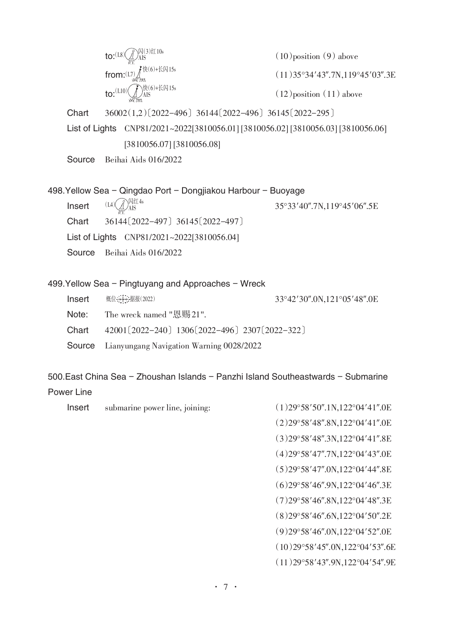from: $(L7)$  $f*(6) + K$ 闪15s 黄黑 快(6)+长闪15s  $to$ : $(L10)$ 红 闪(*3)*红10s<br>\*\*\* AIS (L8)

 $(10)$ position $(9)$  above

 $(11)35°34'43''.7N,119°45'03''.3E$ 

 $(12)$  position  $(11)$  above

Chart 36002(1,2)〔2022-496〕36144〔2022-496〕36145〔2022-295〕

List of Lights CNP81/2021~2022[3810056.01] [3810056.02] [3810056.03] [3810056.06] [3810056.07] [3810056.08]

Source Beihai Aids 016/2022

498. Yellow Sea - Qingdao Port - Dongjiakou Harbour - Buoyage  $\text{Insert} \quad (14)(\text{NSE}^{\text{NSE}} \quad (14)$ Chart 36144〔2022-497〕36145〔2022-497〕 List of Lights CNP81/2021~2022[3810056.04] Source Beihai Aids 016/2022 红 内红 4s  $(L4)$   $\mathcal{A}$   $\mathcal{A}$  is

#### 499. Yellow Sea - Pingtuyang and Approaches - Wreck

| Insert | 概位: <del>       </del> 据报(2022)                              | 33°42'30".0N,121°05'48".0E |
|--------|--------------------------------------------------------------|----------------------------|
| Note:  | The wreck named "恩赐21".                                      |                            |
| Chart  | 42001 $(2022 - 240)$ 1306 $(2022 - 496)$ 2307 $(2022 - 322)$ |                            |
|        | <b>Source</b> Lianyungang Navigation Warning 0028/2022       |                            |

500.East China Sea - Zhoushan Islands - Panzhi Island Southeastwards - Submarine

#### Power Line

- Insert submarine power line, joining: (1)29°58′50″.1N,122°04′41″.0E
	- (2)29°58′48″.8N,122°04′41″.0E
	- (3)29°58′48″.3N,122°04′41″.8E
	- (4)29°58′47″.7N,122°04′43″.0E
	- (5)29°58′47″.0N,122°04′44″.8E
	- (6)29°58′46″.9N,122°04′46″.3E
	- (7)29°58′46″.8N,122°04′48″.3E
	- (8)29°58′46″.6N,122°04′50″.2E
	- (9)29°58′46″.0N,122°04′52″.0E
	- (10)29°58′45″.0N,122°04′53″.6E
	- (11)29°58′43″.9N,122°04′54″.9E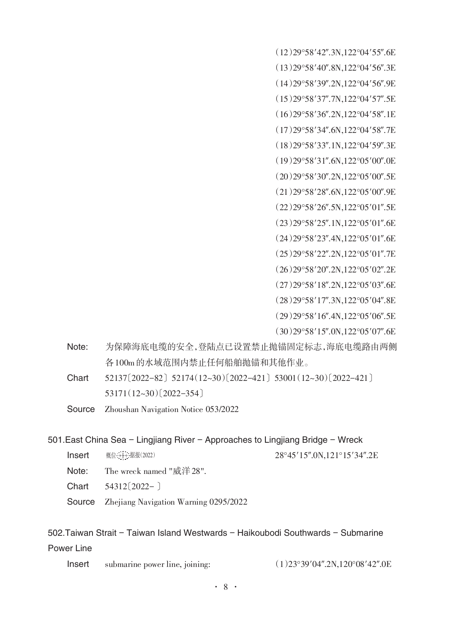(12)29°58′42″.3N,122°04′55″.6E

- (13)29°58′40″.8N,122°04′56″.3E (14)29°58′39″.2N,122°04′56″.9E
- (15)29°58′37″.7N,122°04′57″.5E
- (16)29°58′36″.2N,122°04′58″.1E
- (17)29°58′34″.6N,122°04′58″.7E
- (18)29°58′33″.1N,122°04′59″.3E
- (19)29°58′31″.6N,122°05′00″.0E
- (20)29°58′30″.2N,122°05′00″.5E
- (21)29°58′28″.6N,122°05′00″.9E
- (22)29°58′26″.5N,122°05′01″.5E
- (23)29°58′25″.1N,122°05′01″.6E
- (24)29°58′23″.4N,122°05′01″.6E
- (25)29°58′22″.2N,122°05′01″.7E
- (26)29°58′20″.2N,122°05′02″.2E
- (27)29°58′18″.2N,122°05′03″.6E
- (28)29°58′17″.3N,122°05′04″.8E
- (29)29°58′16″.4N,122°05′06″.5E
- (30)29°58′15″.0N,122°05′07″.6E
- Note: 为保障海底电缆的安全,登陆点已设置禁止抛锚固定标志,海底电缆路由两侧 各100m的水域范围内禁止任何船舶抛锚和其他作业。
- Chart 52137〔2022-82〕52174(12~30)〔2022-421〕53001(12~30)〔2022-421〕 53171(12~30)〔2022-354〕
- Source Zhoushan Navigation Notice 053/2022

#### 501.East China Sea - Lingjiang River - Approaches to Lingjiang Bridge - Wreck

- Insert 概位:并已据报(2022) 28°45′15″.0N.121°15′34″.2E 概位 +++ 据报(2022)
- Note: The wreck named "威洋28".
- Chart 54312〔2022-〕
- Source Zhejiang Navigation Warning 0295/2022

### 502.Taiwan Strait - Taiwan Island Westwards - Haikoubodi Southwards - Submarine Power Line

- Insert submarine power line, joining: (1)23°39′04″.2N,120°08′42″.0E
	-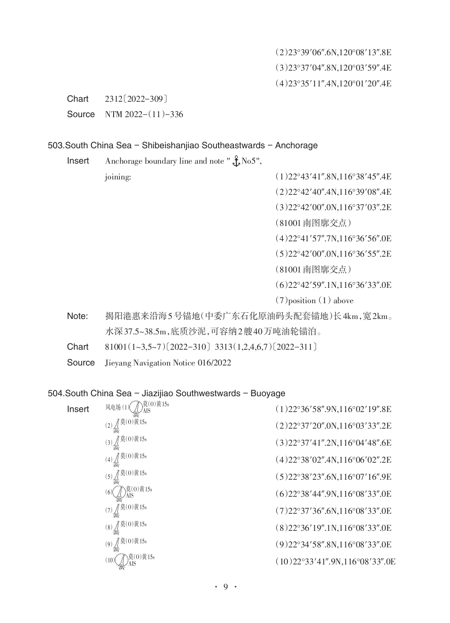(2)23°39′06″.6N,120°08′13″.8E (3)23°37′04″.8N,120°03′59″.4E (4)23°35′11″.4N,120°01′20″.4E

Chart 2312〔2022-309〕

Source NTM 2022-(11)-336

#### 503.South China Sea - Shibeishanjiao Southeastwards - Anchorage

**Insert** Anchorage boundary line and note " $\frac{9}{5}$  No5",

joining: (1)22°43′41″.8N,116°38′45″.4E

(2)22°42′40″.4N,116°39′08″.4E

(3)22°42′00″.0N,116°37′03″.2E

(81001南图廓交点)

(4)22°41′57″.7N,116°36′56″.0E

(5)22°42′00″.0N,116°36′55″.2E

(81001南图廓交点)

(6)22°42′59″.1N,116°36′33″.0E

 $(7)$ position $(1)$  above

Note: 揭阳港惠来沿海5号锚地(中委广东石化原油码头配套锚地)长4km,宽2km。 水深37.5~38.5m,底质沙泥,可容纳2艘40万吨油轮锚泊。

Chart  $81001(1-3,5-7)(2022-310)$  3313(1,2,4,6,7)[2022-311]

Source Jieyang Navigation Notice 016/2022

#### 504. South China Sea - Jiazijiao Southwestwards - Buoyage

| Insert | - 莫(0)黄 15s<br>风电场!              | $(1)$ 22°36'58".9N,116°02'19".8E  |
|--------|----------------------------------|-----------------------------------|
|        | 【莫(0)黄15s                        | (2)22°37'20''.0N,116°03'33''.2E   |
|        | $(3)$ $\int$ 莫 $(0)$ 黄 15s       | (3)22°37'41''.2N,116°04'48''.6E   |
|        | $\check{f}$ 莫 $(0)$ 黄 15s<br>(4) | (4)22°38'02''.4N,116°06'02''.2E   |
|        | 莫(0)黄15s<br>(5)                  | $(5)$ 22°38′23″.6N,116°07′16″.9E  |
|        | 莫(0)黄15s<br>6.                   | $(6)$ 22°38'44".9N,116°08'33".0E  |
|        | 「莫(0)黄15s                        | (7)22°37'36''.6N,116°08'33''.0E   |
|        | 「莫(0)黄15s<br>(8)                 | (8)22°36'19''.1N,116°08'33''.0E   |
|        | 【莫(0)黄15s<br>(9)                 | (9) 22°34' 58".8N, 116°08' 33".0E |
|        | 莫(0)黄15s<br>$\left(10\right)$    | (10)22°33'41''.9N,116°08'33''.0E  |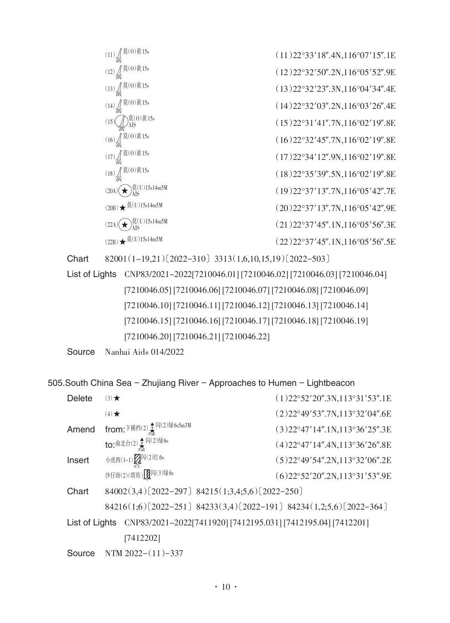| $\ddot{a}(0)$ 黄15s                                                               | $(11)$ 22°33'18".4N,116°07'15".1E |
|----------------------------------------------------------------------------------|-----------------------------------|
| $(12)$ $(12)$ $(13)$ $(15)$ $(15)$                                               | (12)22°32'50''.2N,116°05'52''.9E  |
| (13) $\int_{\frac{2}{35}}^{\frac{1}{35}}(0)\ddot{x}$ 15s                         | (13)22°32'23''.3N,116°04'34''.4E  |
| $\bar{p}(0)$ 黄 15s<br>(14)                                                       | (14)22°32'03''.2N,116°03'26''.4E  |
| ҇)莫(0)黄15s<br><i>)</i> AIS<br>(15)                                               | (15)22°31'41''.7N,116°02'19''.8E  |
| $(16)$ $\iint_{\frac{1}{10}} \frac{\ddot{a}}{b} (0) \ddot{b} 15$ s               | (16)22°32'45''.7N,116°02'19''.8E  |
| $(17)$ $\int_{\frac{1}{100}}^{\frac{\pi}{2}} (0)$ 黄 15s                          | (17)22°34'12''.9N,116°02'19''.8E  |
| $(18)$ $\int_{\frac{1}{7}}^{\frac{\pi}{2}} \frac{\ddot{a}}{b} (0) \ddot{b} 15$ s | (18)22°35'39''.5N,116°02'19''.8E  |
| $\frac{1}{\sqrt{2}}$ (U)15s14m5M<br>(20A)                                        | (19)22°37'13''.7N,116°05'42''.7E  |
| $(20B)$ ★ $\frac{\ddot{E}(U)15s14m5M}{F}$                                        | (20)22°37'13''.7N,116°05'42''.9E  |
| $U$ )15s14m5M                                                                    | $(21)$ 22°37'45".1N,116°05'56".3E |
| 莫(U)15s14m5M<br>(22B)                                                            | (22)22°37'45''.1N,116°05'56''.5E  |

Chart 82001(1~19,21)〔2022-310〕3313(1,6,10,15,19)〔2022-503〕

List of Lights CNP83/2021~2022[7210046.01] [7210046.02] [7210046.03] [7210046.04] [7210046.05] [7210046.06] [7210046.07] [7210046.08] [7210046.09] [7210046.10] [7210046.11] [7210046.12] [7210046.13] [7210046.14] [7210046.15] [7210046.16] [7210046.17] [7210046.18] [7210046.19] [7210046.20] [7210046.21] [7210046.22]

```
Source Nanhai Aids 014/2022
```
505.South China Sea - Zhujiang River - Approaches to Humen - Lightbeacon

| $(3)$ $\star$                                                                | $(1)$ 22°52′20″.3N,113°31′53″.1E                                                                 |
|------------------------------------------------------------------------------|--------------------------------------------------------------------------------------------------|
| $(4)$ $\star$                                                                | $(2)$ 22°49'53".7N,113°32'04".6E                                                                 |
|                                                                              | $(3)$ 22°47'14".1N,113°36'25".3E                                                                 |
|                                                                              | $(4)$ 22°47'14".4N,113°36'26".8E                                                                 |
| 小虎西(1-1) 2 闪(2)红6s                                                           | $(5)$ 22°49'54".2N,113°32'06".2E                                                                 |
| 沙仔沥(2)(塔形) [[0] 闪(3) 绿 6s                                                    | $(6)$ 22°52′20″.2N,113°31′53″.9E                                                                 |
| 84002(3,4)[2022-297] 84215(1;3,4;5,6)[2022-250]                              |                                                                                                  |
| 84216(1;6)[2022-251] 84233(3,4)[2022-191] 84234(1,2;5,6)[2022-364]           |                                                                                                  |
| List of Lights CNP83/2021~2022[7411920] [7412195.031] [7412195.04] [7412201] |                                                                                                  |
| [7412202]                                                                    |                                                                                                  |
| NTM $2022-(11)-337$                                                          |                                                                                                  |
|                                                                              | from: $\bar{F}$ 横档(2) $\frac{4}{5}$ $\bar{M}$ (2) 绿 6s5m3M<br>to: 南北台(2) $\frac{1}{4}$ 闪(2) 绿 6s |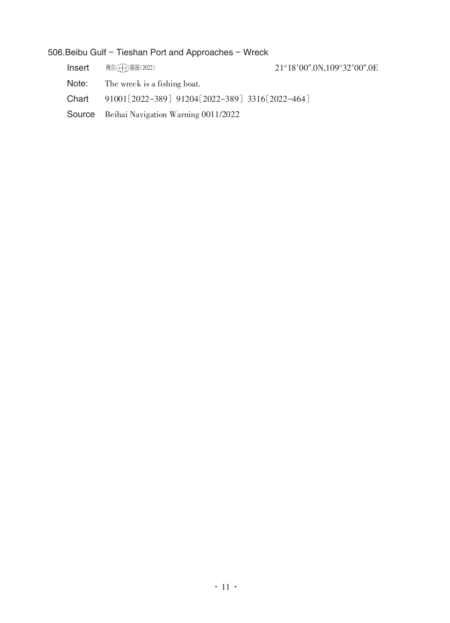### 506.Beibu Gulf - Tieshan Port and Approaches - Wreck

| Insert | 概位: 十一据报(2022)                                    | 21°18'00".0N,109°32'00".0E |
|--------|---------------------------------------------------|----------------------------|
| Note:  | The wreck is a fishing boat.                      |                            |
| Chart  | 91001 [2022-389] 91204 [2022-389] 3316 [2022-464] |                            |
|        | <b>Source</b> Beihai Navigation Warning 0011/2022 |                            |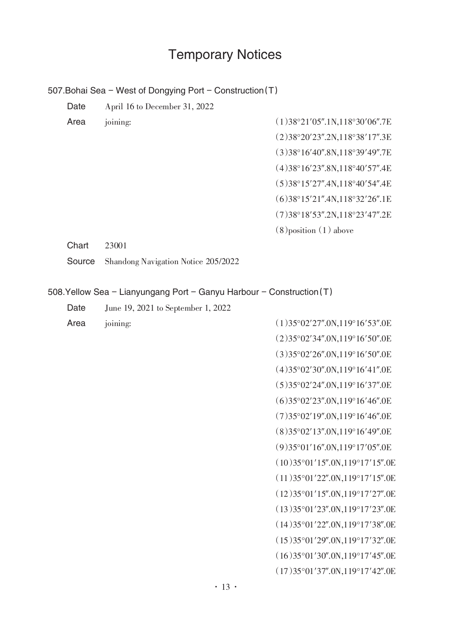# Temporary Notices

507. Bohai Sea - West of Dongying Port - Construction (T)

| Date   | April 16 to December 31, 2022                                         |                                                 |  |  |
|--------|-----------------------------------------------------------------------|-------------------------------------------------|--|--|
| Area   | joining:                                                              | (1)38°21'05''.1N,118°30'06''.7E                 |  |  |
|        |                                                                       | (2)38°20'23''.2N,118°38'17''.3E                 |  |  |
|        |                                                                       | (3)38°16'40''.8N,118°39'49''.7E                 |  |  |
|        |                                                                       | (4)38°16'23".8N,118°40'57".4E                   |  |  |
|        |                                                                       | (5)38°15'27''.4N,118°40'54''.4E                 |  |  |
|        |                                                                       | (6)38°15'21''.4N,118°32'26''.1E                 |  |  |
|        |                                                                       | (7)38°18'53''.2N,118°23'47''.2E                 |  |  |
|        |                                                                       | $(8)$ position $(1)$ above                      |  |  |
| Chart  | 23001                                                                 |                                                 |  |  |
| Source | Shandong Navigation Notice 205/2022                                   |                                                 |  |  |
|        |                                                                       |                                                 |  |  |
|        | 508. Yellow Sea - Lianyungang Port - Ganyu Harbour - Construction (T) |                                                 |  |  |
| Date   | June 19, 2021 to September 1, 2022                                    |                                                 |  |  |
| Area   | joining:                                                              | (1)35°02'27''.0N,119°16'53''.0E                 |  |  |
|        |                                                                       | $(2)35^{\circ}02'34''.0N,119^{\circ}16'50''.0E$ |  |  |
|        |                                                                       | $(3)35^{\circ}02'26''.0N,119^{\circ}16'50''.0E$ |  |  |
|        |                                                                       | (4)35°02'30''.0N,119°16'41''.0E                 |  |  |
|        |                                                                       |                                                 |  |  |

| (1)35°02'27''.0N,119°16'53''.0E                  |
|--------------------------------------------------|
| $(2)35^{\circ}02'34''.0N,119^{\circ}16'50''.0E$  |
| $(3)35^{\circ}02'26''.0N,119^{\circ}16'50''.0E$  |
| $(4)35^{\circ}02'30''.0N,119^{\circ}16'41''.0E$  |
| (5)35°02'24''.0N,119°16'37''.0E                  |
| (6)35°02'23''.0N,119°16'46''.0E                  |
| (7)35°02'19''.0N,119°16'46''.0E                  |
| (8)35°02'13''.0N,119°16'49''.0E                  |
| (9)35°01'16''.0N,119°17'05''.0E                  |
| $(10)35^{\circ}01'15''.0N,119^{\circ}17'15''.0E$ |
| (11)35°01'22''.0N,119°17'15''.0E                 |
| (12)35°01'15''.0N,119°17'27''.0E                 |
| (13)35°01'23''.0N,119°17'23''.0E                 |
| $(14)35^{\circ}01'22''.0N,119^{\circ}17'38''.0E$ |
| (15)35°01'29''.0N,119°17'32''.0E                 |
| $(16)35^{\circ}01'30''.0N,119^{\circ}17'45''.0E$ |
| (17)35°01'37''.0N,119°17'42''.0E                 |
|                                                  |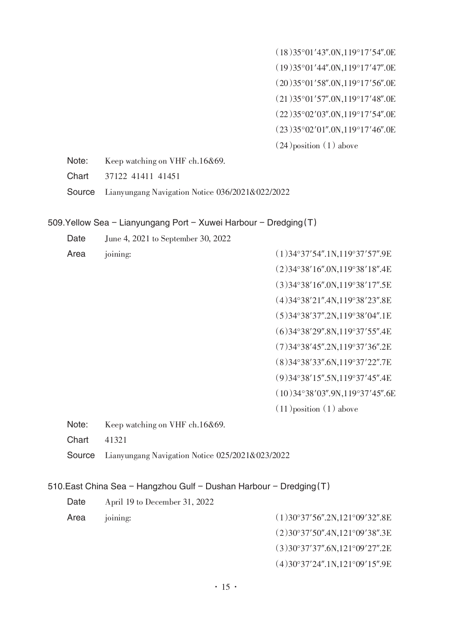(18)35°01′43″.0N,119°17′54″.0E (19)35°01′44″.0N,119°17′47″.0E (20)35°01′58″.0N,119°17′56″.0E (21)35°01′57″.0N,119°17′48″.0E (22)35°02′03″.0N,119°17′54″.0E (23)35°02′01″.0N,119°17′46″.0E  $(24)$ position $(1)$  above

Note: Keep watching on VHF ch.16&69.

Chart 37122 41411 41451

Source Lianyungang Navigation Notice 036/2021&022/2022

#### 509. Yellow Sea - Lianyungang Port - Xuwei Harbour - Dredging  $(T)$

| Date                                                                | June 4, 2021 to September 30, 2022              |                                  |  |
|---------------------------------------------------------------------|-------------------------------------------------|----------------------------------|--|
| Area                                                                | joining:                                        | $(1)$ 34°37'54".1N,119°37'57".9E |  |
|                                                                     |                                                 | (2)34°38'16''.0N,119°38'18''.4E  |  |
|                                                                     |                                                 | (3)34°38'16''.0N,119°38'17''.5E  |  |
|                                                                     |                                                 | (4)34°38'21''.4N,119°38'23''.8E  |  |
|                                                                     |                                                 | (5)34°38'37''.2N,119°38'04''.1E  |  |
|                                                                     |                                                 | (6)34°38'29''.8N,119°37'55''.4E  |  |
|                                                                     |                                                 | (7)34°38'45''.2N,119°37'36''.2E  |  |
|                                                                     |                                                 | (8)34°38'33''.6N,119°37'22''.7E  |  |
|                                                                     |                                                 | (9)34°38'15''.5N,119°37'45''.4E  |  |
|                                                                     |                                                 | (10)34°38'03''.9N,119°37'45''.6E |  |
|                                                                     |                                                 | $(11)$ position $(1)$ above      |  |
| Note:                                                               | Keep watching on VHF ch.16&69.                  |                                  |  |
| Chart                                                               | 41321                                           |                                  |  |
| Source                                                              | Lianyungang Navigation Notice 025/2021&023/2022 |                                  |  |
|                                                                     |                                                 |                                  |  |
| 510. East China Sea - Hangzhou Gulf - Dushan Harbour - Dredging (T) |                                                 |                                  |  |
| Date                                                                | April 19 to December 31, 2022                   |                                  |  |
| Area                                                                | joining:                                        | $(1)$ 30°37′56".2N,121°09′32".8E |  |

- (2)30°37′50″.4N,121°09′38″.3E
- (3)30°37′37″.6N,121°09′27″.2E
- (4)30°37′24″.1N,121°09′15″.9E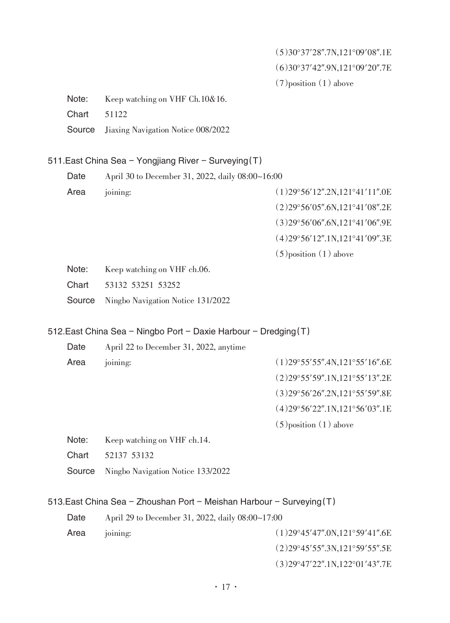(5)30°37′28″.7N,121°09′08″.1E (6)30°37′42″.9N,121°09′20″.7E  $(7)$  position  $(1)$  above

Note: Keep watching on VHF Ch.10&16.

Chart 51122

Source Jiaxing Navigation Notice 008/2022

#### 511. East China Sea - Yongjiang River - Surveying (T)

| Date |          | April 30 to December 31, 2022, daily 08:00~16:00 |
|------|----------|--------------------------------------------------|
| Area | joining: | $(1)$ 29°56'12".2N,121°41'11".0E                 |
|      |          | $(2)29^{\circ}56'05''.6N,121^{\circ}41'08''.2E$  |

(3)29°56′06″.6N,121°41′06″.9E

(4)29°56′12″.1N,121°41′09″.3E

 $(5)$ position $(1)$  above

Note: Keep watching on VHF ch.06.

Chart 53132 53251 53252

Source Ningbo Navigation Notice 131/2022

#### 512. East China Sea - Ningbo Port - Daxie Harbour - Dredging (T)

| Date | April 22 to December 31, 2022, anytime |                                                 |
|------|----------------------------------------|-------------------------------------------------|
| Area | joining:                               | $(1)$ 29°55′55″.4N,121°55′16″.6E                |
|      |                                        | $(2)29^{\circ}55'59''.1N,121^{\circ}55'13''.2E$ |
|      |                                        | $(3)29^{\circ}56'26''.2N,121^{\circ}55'59''.8E$ |

(4)29°56′22″.1N,121°56′03″.1E

 $(5)$  position  $(1)$  above

- Note: Keep watching on VHF ch.14.
- Chart 52137 53132

Source Ningbo Navigation Notice 133/2022

#### 513.East China Sea - Zhoushan Port - Meishan Harbour - Surveying  $(T)$

Date April 29 to December 31, 2022, daily 08:00~17:00

- Area joining: (1)29°45′47″.0N,121°59′41″.6E (2)29°45′55″.3N,121°59′55″.5E
	- (3)29°47′22″.1N,122°01′43″.7E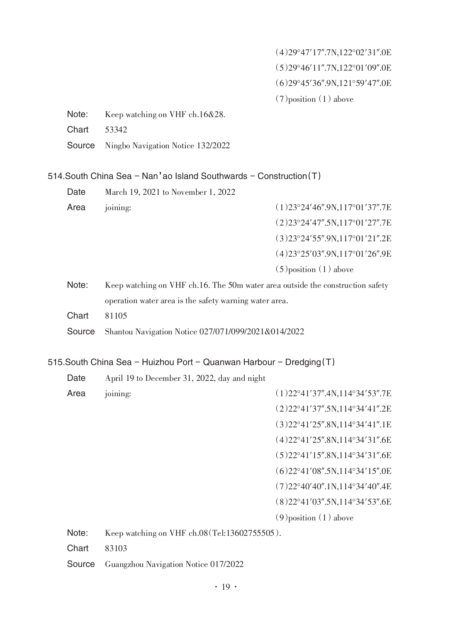(4)29°47′17″.7N,122°02′31″.0E (5)29°46′11″.7N,122°01′09″.0E (6)29°45′36″.9N,121°59′47″.0E  $(7)$  position  $(1)$  above

- Note: Keep watching on VHF ch.16&28.
- Chart 53342
- Source Ningbo Navigation Notice 132/2022

 $514.$ South China Sea - Nan'ao Island Southwards - Construction (T)

| Date | March 19, 2021 to November 1, 2022 |                                  |
|------|------------------------------------|----------------------------------|
| Area | joining:                           | $(1)$ 23°24'46".9N,117°01'37".7E |
|      |                                    | $(2)$ 23°24'47".5N,117°01'27".7E |
|      |                                    | $(3)$ 23°24'55".9N,117°01'21".2E |
|      |                                    | (4)23°25'03''.9N,117°01'26''.9E  |
|      |                                    | $(5)$ position $(1)$ above       |
|      |                                    |                                  |

- Note: Keep watching on VHF ch.16. The 50m water area outside the construction safety operation water area is the safety warning water area.
- Chart 81105
- Source Shantou Navigation Notice 027/071/099/2021&014/2022

515. South China Sea - Huizhou Port - Quanwan Harbour - Dredging  $(T)$ 

Date April 19 to December 31, 2022, day and night

Area joining: (1)22°41′37″.4N,114°34′53″.7E

- (2)22°41′37″.5N,114°34′41″.2E
- (3)22°41′25″.8N,114°34′41″.1E
- (4)22°41′25″.8N,114°34′31″.6E
- (5)22°41′15″.8N,114°34′31″.6E
- (6)22°41′08″.5N,114°34′15″.0E
- (7)22°40′40″.1N,114°34′40″.4E
- (8)22°41′03″.5N,114°34′53″.6E
- $(9)$  position  $(1)$  above

Note: Keep watching on VHF ch.08 (Tel:13602755505).

- Chart 83103
- Source Guangzhou Navigation Notice 017/2022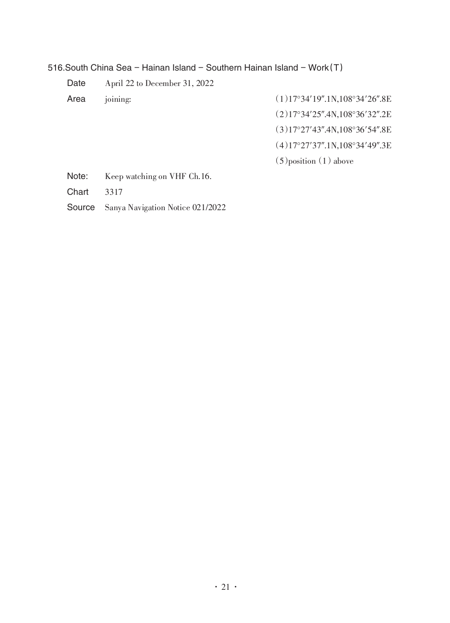516. South China Sea - Hainan Island - Southern Hainan Island - Work $(T)$ 

Date April 22 to December 31, 2022

- Area joining: (1)17°34′19″.1N,108°34′26″.8E
	- (2)17°34′25″.4N,108°36′32″.2E
	- (3)17°27′43″.4N,108°36′54″.8E
	- (4)17°27′37″.1N,108°34′49″.3E
	- $(5)$ position $(1)$  above

Note: Keep watching on VHF Ch.16.

Chart 3317

Source Sanya Navigation Notice 021/2022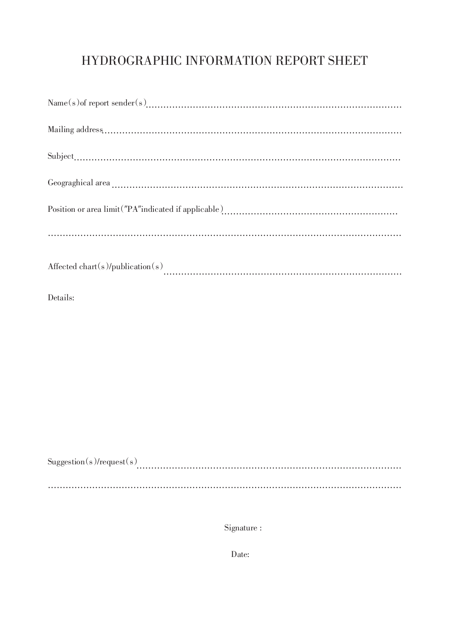## HYDROGRAPHIC INFORMATION REPORT SHEET

| Affected chart(s)/publication(s) |
|----------------------------------|

Details:

| $\text{Duggestion}(s)/\text{request}(s)$ |  |  |  |
|------------------------------------------|--|--|--|
|                                          |  |  |  |
|                                          |  |  |  |
|                                          |  |  |  |

Signature :

Date: